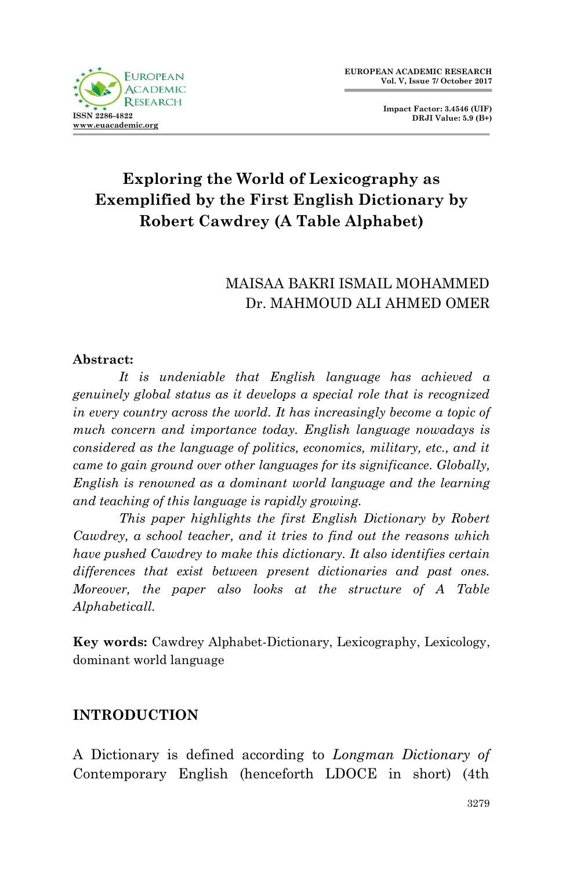

**Impact Factor: 3.4546 (UIF) DRJI Value: 5.9 (B+)**

# **Exploring the World of Lexicography as Exemplified by the First English Dictionary by Robert Cawdrey (A Table Alphabet)**

## MAISAA BAKRI ISMAIL MOHAMMED Dr. MAHMOUD ALI AHMED OMER

#### **Abstract:**

*It is undeniable that English language has achieved a genuinely global status as it develops a special role that is recognized in every country across the world. It has increasingly become a topic of much concern and importance today. English language nowadays is considered as the language of politics, economics, military, etc., and it came to gain ground over other languages for its significance. Globally, English is renowned as a dominant world language and the learning and teaching of this language is rapidly growing.*

*This paper highlights the first English Dictionary by Robert Cawdrey, a school teacher, and it tries to find out the reasons which have pushed Cawdrey to make this dictionary. It also identifies certain differences that exist between present dictionaries and past ones. Moreover, the paper also looks at the structure of A Table Alphabeticall.*

**Key words:** Cawdrey Alphabet-Dictionary, Lexicography, Lexicology, dominant world language

#### **INTRODUCTION**

A Dictionary is defined according to *Longman Dictionary of*  Contemporary English (henceforth LDOCE in short) (4th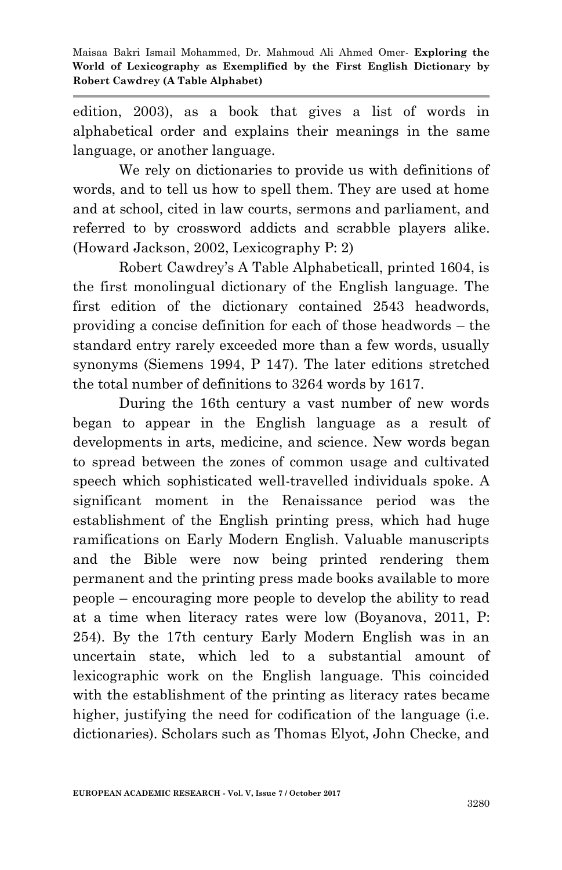edition, 2003), as a book that gives a list of words in alphabetical order and explains their meanings in the same language, or another language.

We rely on dictionaries to provide us with definitions of words, and to tell us how to spell them. They are used at home and at school, cited in law courts, sermons and parliament, and referred to by crossword addicts and scrabble players alike. (Howard Jackson, 2002, Lexicography P: 2)

Robert Cawdrey"s A Table Alphabeticall, printed 1604, is the first monolingual dictionary of the English language. The first edition of the dictionary contained 2543 headwords, providing a concise definition for each of those headwords – the standard entry rarely exceeded more than a few words, usually synonyms (Siemens 1994, P 147). The later editions stretched the total number of definitions to 3264 words by 1617.

During the 16th century a vast number of new words began to appear in the English language as a result of developments in arts, medicine, and science. New words began to spread between the zones of common usage and cultivated speech which sophisticated well-travelled individuals spoke. A significant moment in the Renaissance period was the establishment of the English printing press, which had huge ramifications on Early Modern English. Valuable manuscripts and the Bible were now being printed rendering them permanent and the printing press made books available to more people – encouraging more people to develop the ability to read at a time when literacy rates were low (Boyanova, 2011, P: 254). By the 17th century Early Modern English was in an uncertain state, which led to a substantial amount of lexicographic work on the English language. This coincided with the establishment of the printing as literacy rates became higher, justifying the need for codification of the language (*i.e.*) dictionaries). Scholars such as Thomas Elyot, John Checke, and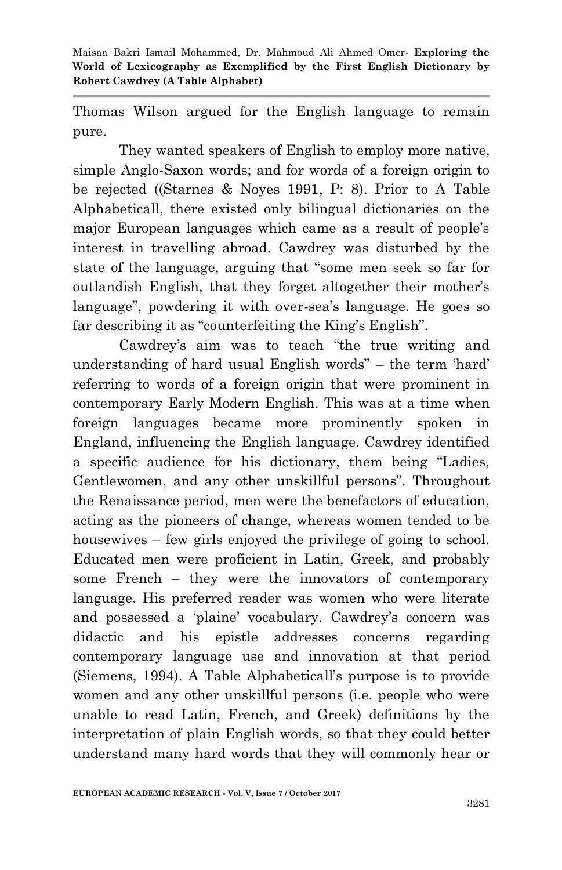Thomas Wilson argued for the English language to remain pure.

They wanted speakers of English to employ more native, simple Anglo-Saxon words; and for words of a foreign origin to be rejected ((Starnes & Noyes 1991, P: 8). Prior to A Table Alphabeticall, there existed only bilingual dictionaries on the major European languages which came as a result of people"s interest in travelling abroad. Cawdrey was disturbed by the state of the language, arguing that "some men seek so far for outlandish English, that they forget altogether their mother"s language", powdering it with over-sea's language. He goes so far describing it as "counterfeiting the King's English".

Cawdrey's aim was to teach "the true writing and understanding of hard usual English words" – the term "hard" referring to words of a foreign origin that were prominent in contemporary Early Modern English. This was at a time when foreign languages became more prominently spoken in England, influencing the English language. Cawdrey identified a specific audience for his dictionary, them being "Ladies, Gentlewomen, and any other unskillful persons". Throughout the Renaissance period, men were the benefactors of education, acting as the pioneers of change, whereas women tended to be housewives – few girls enjoyed the privilege of going to school. Educated men were proficient in Latin, Greek, and probably some French – they were the innovators of contemporary language. His preferred reader was women who were literate and possessed a "plaine" vocabulary. Cawdrey"s concern was didactic and his epistle addresses concerns regarding contemporary language use and innovation at that period (Siemens, 1994). A Table Alphabeticall"s purpose is to provide women and any other unskillful persons (i.e. people who were unable to read Latin, French, and Greek) definitions by the interpretation of plain English words, so that they could better understand many hard words that they will commonly hear or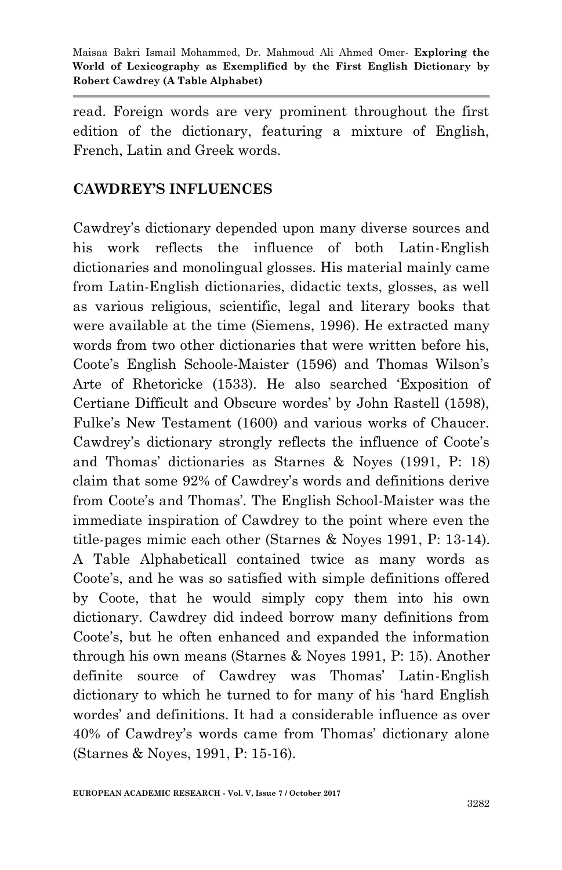read. Foreign words are very prominent throughout the first edition of the dictionary, featuring a mixture of English, French, Latin and Greek words.

#### **CAWDREY'S INFLUENCES**

Cawdrey"s dictionary depended upon many diverse sources and his work reflects the influence of both Latin-English dictionaries and monolingual glosses. His material mainly came from Latin-English dictionaries, didactic texts, glosses, as well as various religious, scientific, legal and literary books that were available at the time (Siemens, 1996). He extracted many words from two other dictionaries that were written before his, Coote's English Schoole-Maister (1596) and Thomas Wilson's Arte of Rhetoricke (1533). He also searched "Exposition of Certiane Difficult and Obscure wordes" by John Rastell (1598), Fulke"s New Testament (1600) and various works of Chaucer. Cawdrey's dictionary strongly reflects the influence of Coote's and Thomas" dictionaries as Starnes & Noyes (1991, P: 18) claim that some 92% of Cawdrey"s words and definitions derive from Coote's and Thomas'. The English School-Maister was the immediate inspiration of Cawdrey to the point where even the title-pages mimic each other (Starnes & Noyes 1991, P: 13-14). A Table Alphabeticall contained twice as many words as Coote"s, and he was so satisfied with simple definitions offered by Coote, that he would simply copy them into his own dictionary. Cawdrey did indeed borrow many definitions from Coote"s, but he often enhanced and expanded the information through his own means (Starnes & Noyes 1991, P: 15). Another definite source of Cawdrey was Thomas' Latin-English dictionary to which he turned to for many of his "hard English wordes" and definitions. It had a considerable influence as over 40% of Cawdrey"s words came from Thomas" dictionary alone (Starnes & Noyes, 1991, P: 15-16).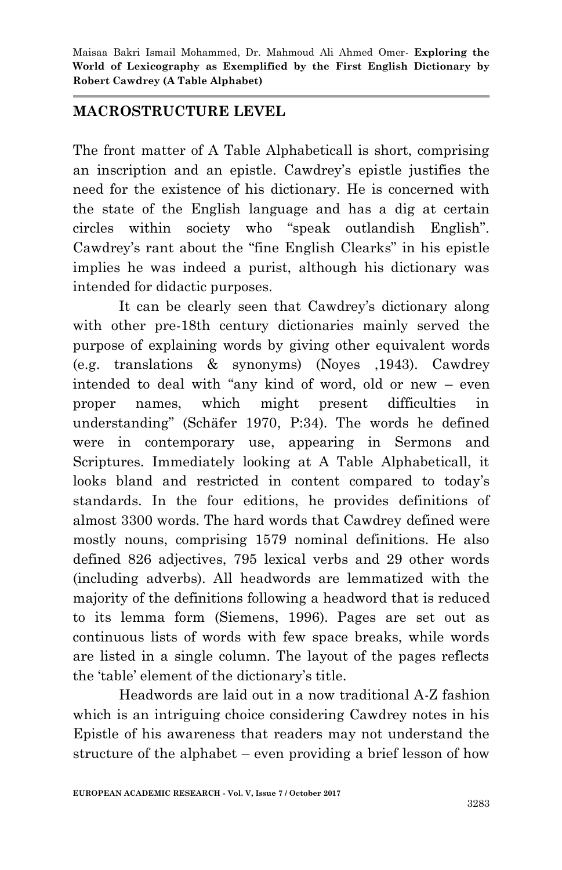#### **MACROSTRUCTURE LEVEL**

The front matter of A Table Alphabeticall is short, comprising an inscription and an epistle. Cawdrey"s epistle justifies the need for the existence of his dictionary. He is concerned with the state of the English language and has a dig at certain circles within society who "speak outlandish English". Cawdrey's rant about the "fine English Clearks" in his epistle implies he was indeed a purist, although his dictionary was intended for didactic purposes.

It can be clearly seen that Cawdrey's dictionary along with other pre-18th century dictionaries mainly served the purpose of explaining words by giving other equivalent words (e.g. translations & synonyms) (Noyes ,1943). Cawdrey intended to deal with "any kind of word, old or new – even proper names, which might present difficulties in understanding" (Schäfer 1970, P:34). The words he defined were in contemporary use, appearing in Sermons and Scriptures. Immediately looking at A Table Alphabeticall, it looks bland and restricted in content compared to today's standards. In the four editions, he provides definitions of almost 3300 words. The hard words that Cawdrey defined were mostly nouns, comprising 1579 nominal definitions. He also defined 826 adjectives, 795 lexical verbs and 29 other words (including adverbs). All headwords are lemmatized with the majority of the definitions following a headword that is reduced to its lemma form (Siemens, 1996). Pages are set out as continuous lists of words with few space breaks, while words are listed in a single column. The layout of the pages reflects the "table" element of the dictionary"s title.

Headwords are laid out in a now traditional A-Z fashion which is an intriguing choice considering Cawdrey notes in his Epistle of his awareness that readers may not understand the structure of the alphabet – even providing a brief lesson of how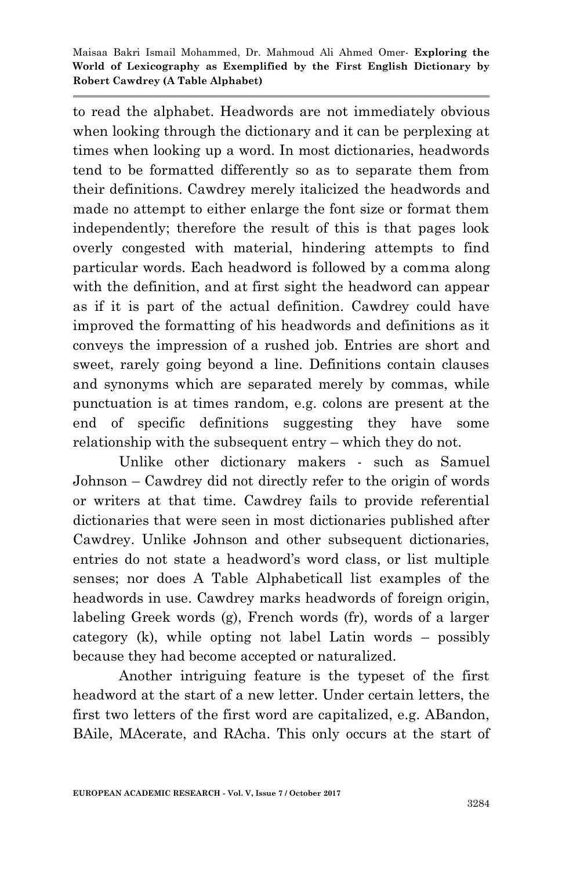to read the alphabet. Headwords are not immediately obvious when looking through the dictionary and it can be perplexing at times when looking up a word. In most dictionaries, headwords tend to be formatted differently so as to separate them from their definitions. Cawdrey merely italicized the headwords and made no attempt to either enlarge the font size or format them independently; therefore the result of this is that pages look overly congested with material, hindering attempts to find particular words. Each headword is followed by a comma along with the definition, and at first sight the headword can appear as if it is part of the actual definition. Cawdrey could have improved the formatting of his headwords and definitions as it conveys the impression of a rushed job. Entries are short and sweet, rarely going beyond a line. Definitions contain clauses and synonyms which are separated merely by commas, while punctuation is at times random, e.g. colons are present at the end of specific definitions suggesting they have some relationship with the subsequent entry – which they do not.

Unlike other dictionary makers - such as Samuel Johnson – Cawdrey did not directly refer to the origin of words or writers at that time. Cawdrey fails to provide referential dictionaries that were seen in most dictionaries published after Cawdrey. Unlike Johnson and other subsequent dictionaries, entries do not state a headword"s word class, or list multiple senses; nor does A Table Alphabeticall list examples of the headwords in use. Cawdrey marks headwords of foreign origin, labeling Greek words (g), French words (fr), words of a larger category (k), while opting not label Latin words – possibly because they had become accepted or naturalized.

Another intriguing feature is the typeset of the first headword at the start of a new letter. Under certain letters, the first two letters of the first word are capitalized, e.g. ABandon, BAile, MAcerate, and RAcha. This only occurs at the start of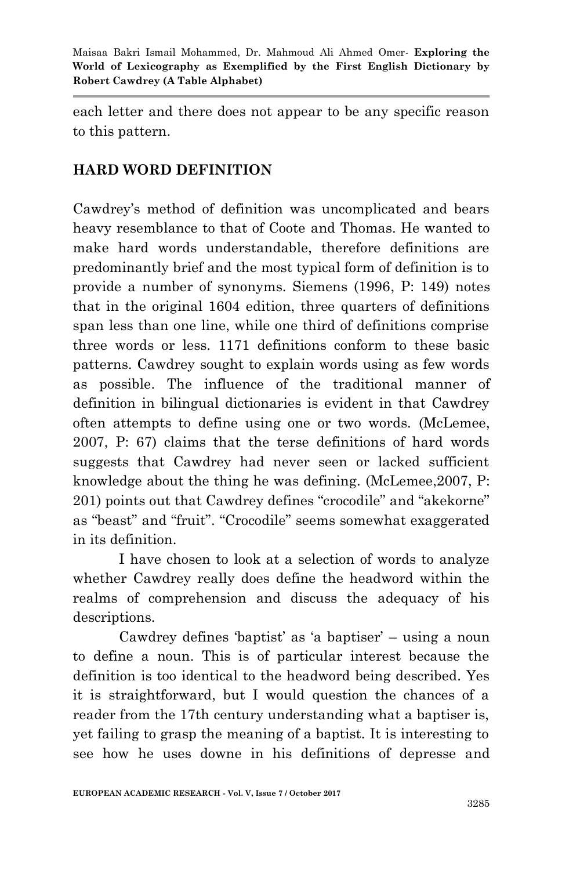each letter and there does not appear to be any specific reason to this pattern.

### **HARD WORD DEFINITION**

Cawdrey"s method of definition was uncomplicated and bears heavy resemblance to that of Coote and Thomas. He wanted to make hard words understandable, therefore definitions are predominantly brief and the most typical form of definition is to provide a number of synonyms. Siemens (1996, P: 149) notes that in the original 1604 edition, three quarters of definitions span less than one line, while one third of definitions comprise three words or less. 1171 definitions conform to these basic patterns. Cawdrey sought to explain words using as few words as possible. The influence of the traditional manner of definition in bilingual dictionaries is evident in that Cawdrey often attempts to define using one or two words. (McLemee, 2007, P: 67) claims that the terse definitions of hard words suggests that Cawdrey had never seen or lacked sufficient knowledge about the thing he was defining. (McLemee,2007, P: 201) points out that Cawdrey defines "crocodile" and "akekorne" as "beast" and "fruit". "Crocodile" seems somewhat exaggerated in its definition.

I have chosen to look at a selection of words to analyze whether Cawdrey really does define the headword within the realms of comprehension and discuss the adequacy of his descriptions.

Cawdrey defines 'baptist' as 'a baptiser' – using a noun to define a noun. This is of particular interest because the definition is too identical to the headword being described. Yes it is straightforward, but I would question the chances of a reader from the 17th century understanding what a baptiser is, yet failing to grasp the meaning of a baptist. It is interesting to see how he uses downe in his definitions of depresse and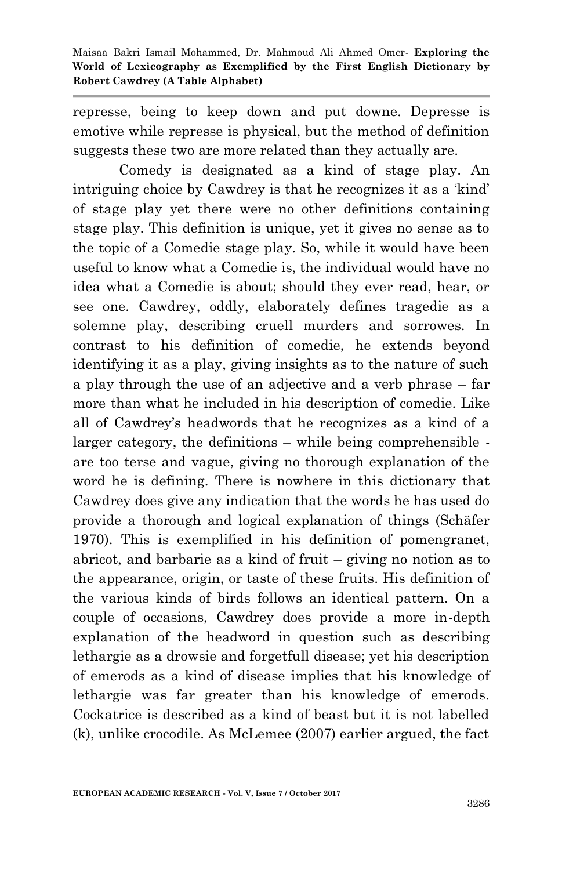represse, being to keep down and put downe. Depresse is emotive while represse is physical, but the method of definition suggests these two are more related than they actually are.

Comedy is designated as a kind of stage play. An intriguing choice by Cawdrey is that he recognizes it as a "kind" of stage play yet there were no other definitions containing stage play. This definition is unique, yet it gives no sense as to the topic of a Comedie stage play. So, while it would have been useful to know what a Comedie is, the individual would have no idea what a Comedie is about; should they ever read, hear, or see one. Cawdrey, oddly, elaborately defines tragedie as a solemne play, describing cruell murders and sorrowes. In contrast to his definition of comedie, he extends beyond identifying it as a play, giving insights as to the nature of such a play through the use of an adjective and a verb phrase – far more than what he included in his description of comedie. Like all of Cawdrey"s headwords that he recognizes as a kind of a larger category, the definitions – while being comprehensible are too terse and vague, giving no thorough explanation of the word he is defining. There is nowhere in this dictionary that Cawdrey does give any indication that the words he has used do provide a thorough and logical explanation of things (Schäfer 1970). This is exemplified in his definition of pomengranet, abricot, and barbarie as a kind of fruit – giving no notion as to the appearance, origin, or taste of these fruits. His definition of the various kinds of birds follows an identical pattern. On a couple of occasions, Cawdrey does provide a more in-depth explanation of the headword in question such as describing lethargie as a drowsie and forgetfull disease; yet his description of emerods as a kind of disease implies that his knowledge of lethargie was far greater than his knowledge of emerods. Cockatrice is described as a kind of beast but it is not labelled (k), unlike crocodile. As McLemee (2007) earlier argued, the fact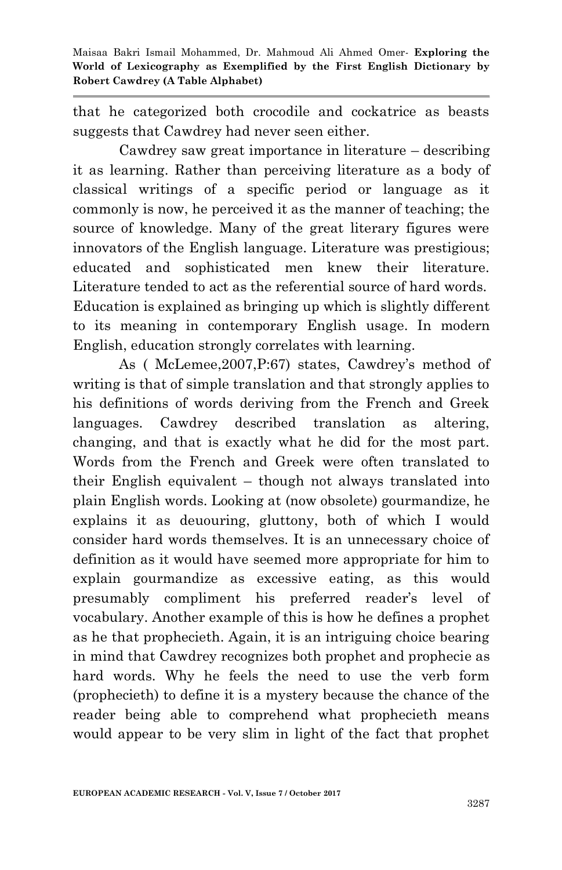that he categorized both crocodile and cockatrice as beasts suggests that Cawdrey had never seen either.

Cawdrey saw great importance in literature – describing it as learning. Rather than perceiving literature as a body of classical writings of a specific period or language as it commonly is now, he perceived it as the manner of teaching; the source of knowledge. Many of the great literary figures were innovators of the English language. Literature was prestigious; educated and sophisticated men knew their literature. Literature tended to act as the referential source of hard words. Education is explained as bringing up which is slightly different to its meaning in contemporary English usage. In modern English, education strongly correlates with learning.

As (McLemee, 2007, P:67) states, Cawdrey's method of writing is that of simple translation and that strongly applies to his definitions of words deriving from the French and Greek languages. Cawdrey described translation as altering, changing, and that is exactly what he did for the most part. Words from the French and Greek were often translated to their English equivalent – though not always translated into plain English words. Looking at (now obsolete) gourmandize, he explains it as deuouring, gluttony, both of which I would consider hard words themselves. It is an unnecessary choice of definition as it would have seemed more appropriate for him to explain gourmandize as excessive eating, as this would presumably compliment his preferred reader"s level of vocabulary. Another example of this is how he defines a prophet as he that prophecieth. Again, it is an intriguing choice bearing in mind that Cawdrey recognizes both prophet and prophecie as hard words. Why he feels the need to use the verb form (prophecieth) to define it is a mystery because the chance of the reader being able to comprehend what prophecieth means would appear to be very slim in light of the fact that prophet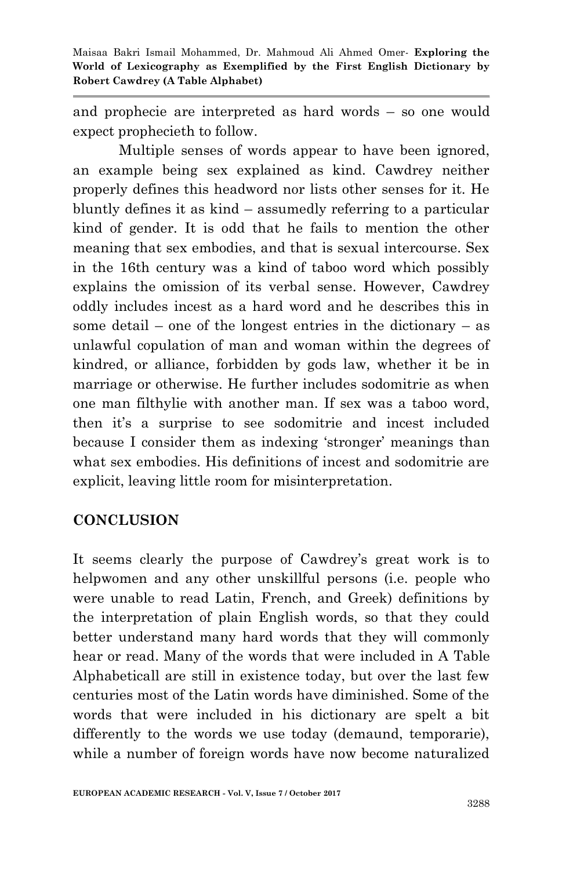and prophecie are interpreted as hard words – so one would expect prophecieth to follow.

Multiple senses of words appear to have been ignored, an example being sex explained as kind. Cawdrey neither properly defines this headword nor lists other senses for it. He bluntly defines it as kind – assumedly referring to a particular kind of gender. It is odd that he fails to mention the other meaning that sex embodies, and that is sexual intercourse. Sex in the 16th century was a kind of taboo word which possibly explains the omission of its verbal sense. However, Cawdrey oddly includes incest as a hard word and he describes this in some detail – one of the longest entries in the dictionary – as unlawful copulation of man and woman within the degrees of kindred, or alliance, forbidden by gods law, whether it be in marriage or otherwise. He further includes sodomitrie as when one man filthylie with another man. If sex was a taboo word, then it's a surprise to see sodomitrie and incest included because I consider them as indexing 'stronger' meanings than what sex embodies. His definitions of incest and sodomitrie are explicit, leaving little room for misinterpretation.

#### **CONCLUSION**

It seems clearly the purpose of Cawdrey's great work is to helpwomen and any other unskillful persons (i.e. people who were unable to read Latin, French, and Greek) definitions by the interpretation of plain English words, so that they could better understand many hard words that they will commonly hear or read. Many of the words that were included in A Table Alphabeticall are still in existence today, but over the last few centuries most of the Latin words have diminished. Some of the words that were included in his dictionary are spelt a bit differently to the words we use today (demaund, temporarie), while a number of foreign words have now become naturalized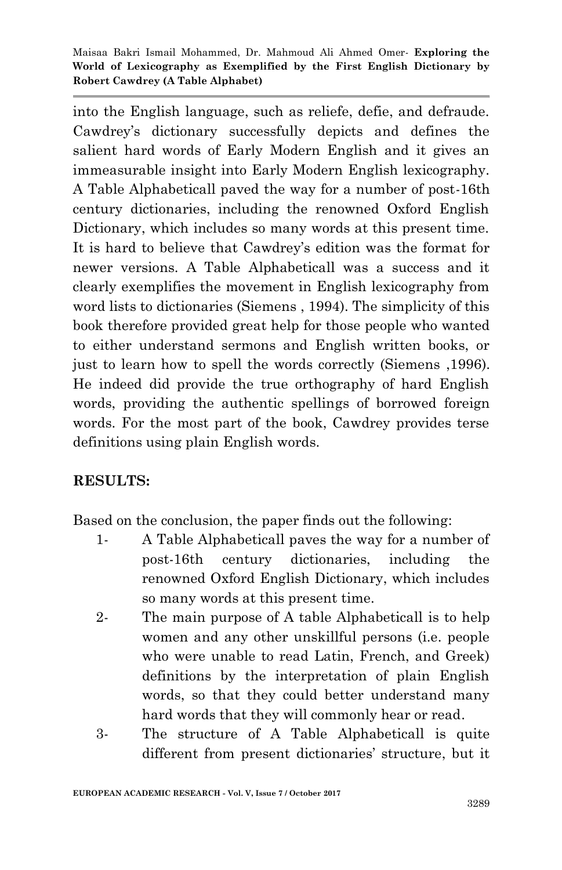into the English language, such as reliefe, defie, and defraude. Cawdrey"s dictionary successfully depicts and defines the salient hard words of Early Modern English and it gives an immeasurable insight into Early Modern English lexicography. A Table Alphabeticall paved the way for a number of post-16th century dictionaries, including the renowned Oxford English Dictionary, which includes so many words at this present time. It is hard to believe that Cawdrey's edition was the format for newer versions. A Table Alphabeticall was a success and it clearly exemplifies the movement in English lexicography from word lists to dictionaries (Siemens , 1994). The simplicity of this book therefore provided great help for those people who wanted to either understand sermons and English written books, or just to learn how to spell the words correctly (Siemens ,1996). He indeed did provide the true orthography of hard English words, providing the authentic spellings of borrowed foreign words. For the most part of the book, Cawdrey provides terse definitions using plain English words.

## **RESULTS:**

Based on the conclusion, the paper finds out the following:

- 1- A Table Alphabeticall paves the way for a number of post-16th century dictionaries, including the renowned Oxford English Dictionary, which includes so many words at this present time.
- 2- The main purpose of A table Alphabeticall is to help women and any other unskillful persons (i.e. people who were unable to read Latin, French, and Greek) definitions by the interpretation of plain English words, so that they could better understand many hard words that they will commonly hear or read.
- 3- The structure of A Table Alphabeticall is quite different from present dictionaries' structure, but it